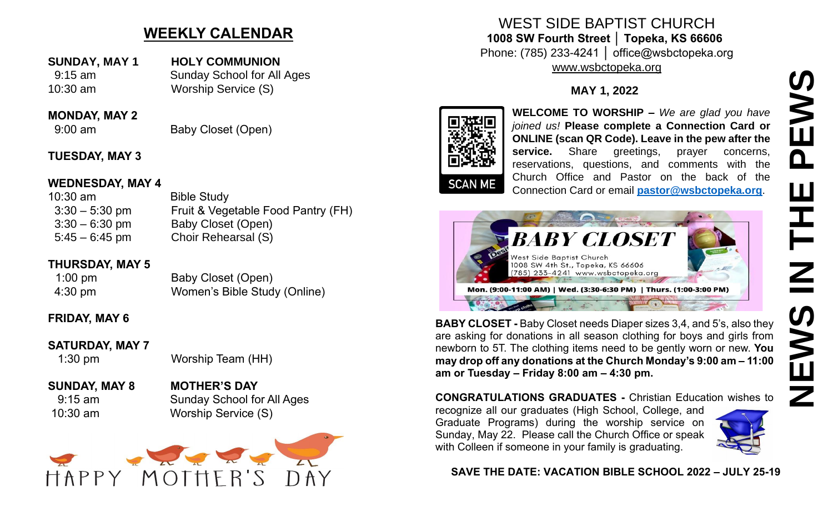# **WEEKLY CALENDAR**

**SUNDAY, MAY 1 HOLY COMMUNION** 9:15 am Sunday School for All Ages 10:30 am Worship Service (S)

#### **MONDAY, MAY 2**

9:00 am Baby Closet (Open)

### **TUESDAY, MAY 3**

#### **WEDNESDAY, MAY 4**

10:30 am Bible Study 3:30 – 5:30 pm Fruit & Vegetable Food Pantry (FH) 3:30 – 6:30 pm Baby Closet (Open) 5:45 – 6:45 pm Choir Rehearsal (S)

#### **THURSDAY, MAY 5**

1:00 pm Baby Closet (Open) 4:30 pm Women's Bible Study (Online)

## **FRIDAY, MAY 6**

#### **SATURDAY, MAY 7**

1:30 pm Worship Team (HH)

### **SUNDAY, MAY 8 MOTHER'S DAY** 9:15 am Sunday School for All Ages 10:30 am Worship Service (S)



WEST SIDE BAPTIST CHURCH **1008 SW Fourth Street │ Topeka, KS 66606** Phone: (785) 233-4241 │ office@wsbctopeka.org [www.wsbctopeka.org](http://www.wsbctopeka.org/)

## **MAY 1, 2022**



**WELCOME TO WORSHIP –** *We are glad you have joined us!* **Please complete a Connection Card or ONLINE (scan QR Code). Leave in the pew after the**  service. Share greetings, prayer concerns, reservations, questions, and comments with the Church Office and Pastor on the back of the Connection Card or email **[pastor@wsbctopeka.org](mailto:pastor@wsbctopeka.org)**.



**BABY CLOSET -** Baby Closet needs Diaper sizes 3,4, and 5's, also they are asking for donations in all season clothing for boys and girls from newborn to 5T. The clothing items need to be gently worn or new. **You may drop off any donations at the Church Monday's 9:00 am – 11:00 am or Tuesday – Friday 8:00 am – 4:30 pm.** 

**CONGRATULATIONS GRADUATES -** Christian Education wishes to

recognize all our graduates (High School, College, and Graduate Programs) during the worship service on Sunday, May 22. Please call the Church Office or speak with Colleen if someone in your family is graduating.



**SAVE THE DATE: VACATION BIBLE SCHOOL 2022 – JULY 25-19**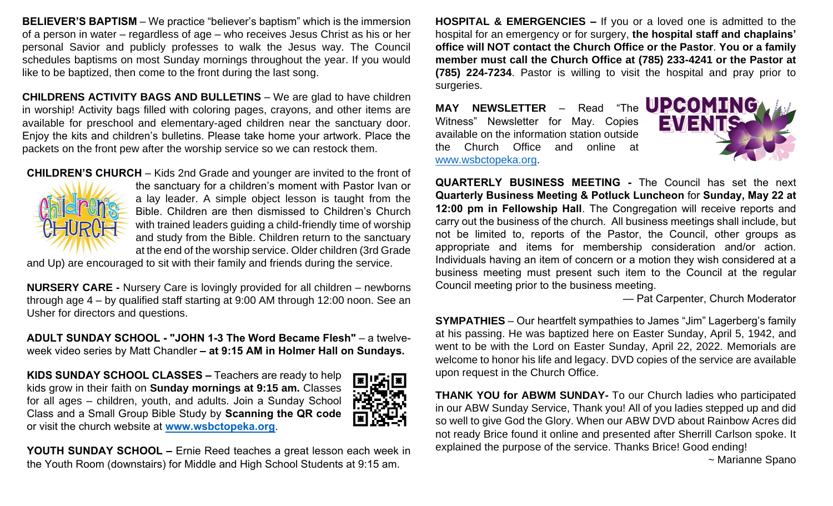**BELIEVER'S BAPTISM** – We practice "believer's baptism" which is the immersion of a person in water – regardless of age – who receives Jesus Christ as his or her personal Savior and publicly professes to walk the Jesus way. The Council schedules baptisms on most Sunday mornings throughout the year. If you would like to be baptized, then come to the front during the last song.

**CHILDRENS ACTIVITY BAGS AND BULLETINS** – We are glad to have children in worship! Activity bags filled with coloring pages, crayons, and other items are available for preschool and elementary-aged children near the sanctuary door. Enjoy the kits and children's bulletins. Please take home your artwork. Place the packets on the front pew after the worship service so we can restock them.

**CHILDREN'S CHURCH** – Kids 2nd Grade and younger are invited to the front of



the sanctuary for a children's moment with Pastor Ivan or a lay leader. A simple object lesson is taught from the Bible. Children are then dismissed to Children's Church with trained leaders guiding a child-friendly time of worship and study from the Bible. Children return to the sanctuary at the end of the worship service. Older children (3rd Grade

and Up) are encouraged to sit with their family and friends during the service.

**NURSERY CARE -** Nursery Care is lovingly provided for all children – newborns through age 4 – by qualified staff starting at 9:00 AM through 12:00 noon. See an Usher for directors and questions.

**ADULT SUNDAY SCHOOL - "JOHN 1-3 The Word Became Flesh"** – a twelveweek video series by Matt Chandler **– at 9:15 AM in Holmer Hall on Sundays.**

**KIDS SUNDAY SCHOOL CLASSES –** Teachers are ready to help kids grow in their faith on **Sunday mornings at 9:15 am.** Classes for all ages – children, youth, and adults. Join a Sunday School Class and a Small Group Bible Study by **Scanning the QR code** or visit the church website at **[www.wsbctopeka.org](http://www.wsbctopeka.org/)**.



**YOUTH SUNDAY SCHOOL –** Ernie Reed teaches a great lesson each week in the Youth Room (downstairs) for Middle and High School Students at 9:15 am.

**HOSPITAL & EMERGENCIES –** If you or a loved one is admitted to the hospital for an emergency or for surgery, **the hospital staff and chaplains' office will NOT contact the Church Office or the Pastor**. **You or a family member must call the Church Office at (785) 233-4241 or the Pastor at (785) 224-7234**. Pastor is willing to visit the hospital and pray prior to surgeries.

MAY NEWSLETTER - Read "The **UPCOMING** Witness" Newsletter for May. Copies available on the information station outside the Church Office and online at [www.wsbctopeka.org.](http://www.wsbctopeka.org/)



**QUARTERLY BUSINESS MEETING** *-* The Council has set the next **Quarterly Business Meeting & Potluck Luncheon** for **Sunday, May 22 at 12:00 pm in Fellowship Hall**. The Congregation will receive reports and carry out the business of the church. All business meetings shall include, but not be limited to, reports of the Pastor, the Council, other groups as appropriate and items for membership consideration and/or action. Individuals having an item of concern or a motion they wish considered at a business meeting must present such item to the Council at the regular Council meeting prior to the business meeting.

— Pat Carpenter, Church Moderator

**SYMPATHIES** – Our heartfelt sympathies to James "Jim" Lagerberg's family at his passing. He was baptized here on Easter Sunday, April 5, 1942, and went to be with the Lord on Easter Sunday, April 22, 2022. Memorials are welcome to honor his life and legacy. DVD copies of the service are available upon request in the Church Office.

**THANK YOU for ABWM SUNDAY-** To our Church ladies who participated in our ABW Sunday Service, Thank you! All of you ladies stepped up and did so well to give God the Glory. When our ABW DVD about Rainbow Acres did not ready Brice found it online and presented after Sherrill Carlson spoke. It explained the purpose of the service. Thanks Brice! Good ending!

~ Marianne Spano